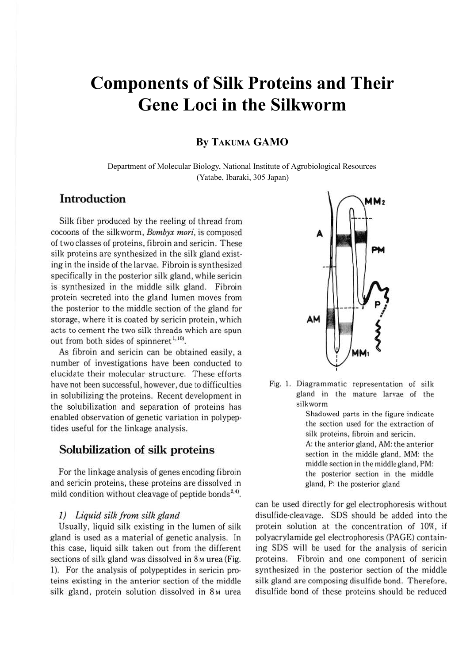# **Components of Silk Proteins and Their Gene Loci in the Silkworm**

# **By TAKUMA GAMO**

Department of Molecular Biology, National Institute of Agrobiological Resources (Yatabe, Ibaraki, 305 Japan)

# **Introduction**

Silk fiber produced by the reeling of thread from cocoons of the silkworm, *Bombyx mori,* is composed of two classes of proteins, fibroin and sericin. These silk proteins are synthesized in the silk gland existing in the inside of the larvae. Fibroin is synthesized specifically in the posterior silk gland, while sericin is synthesized in the middle silk gland. Fibroin protein secreted into the gland lumen moves from the posterior to the middle section of the gland for storage, where it is coated by sericin protein, which acts to cement the two silk threads which are spun out from both sides of spinneret<sup>1,109</sup>.

As fibroin and sericin can be obtained easily, a number of investigations have been conducted to elucidate their molecular structure. These efforts have not been successful, however, due to difficulties in solubilizing the proteins. Recent development in the solubilization and separation of proteins has enabled observation of genetic variation in polypep· tides useful for the linkage analysis.

# **Solubilization of silk proteins**

For the linkage analysis of genes encoding fibroin and sericin proteins, these proteins are dissolved in mild condition without cleavage of peptide bonds<sup>2,4)</sup>.

#### *1) Liquid silk from silk gland*

Usually, liquid silk existing in the lumen of silk gland is used as a material of genetic analysis. In this case, liquid silk taken out from the different sections of silk gland was dissolved in 8 M urea (Fig. 1). For the analysis of polypeptides in sericin pro· teins existing in the anterior section of the middle silk gland, protein solution dissolved in 8<sub>M</sub> urea



Fig. 1. Diagrammatic representation of silk gland in the mature larvae of the silkworm

> Shadowed parts in the figure indicate the section used for the extraction of silk proteins, fibroin and sericin. A: the anterior gland, AM: the anterior section in the middle gland, MM: the middle section in the middle gland, PM: the posterior section in the middle gla nd, P: the posterior gland

can be used directly for gel electrophoresis without disulfide-cleavage. SDS should be added into the protein solution at the concentration of 10%, if polyacrylamide gel electrophoresis (PAGE) containing SDS will be used for the analysis of sericin proteins. Fibroin and one component of sericin synthesized in the posterior section of the middle silk gland are composing disulfide bond. Therefore, disulfide bond of these proteins should be reduced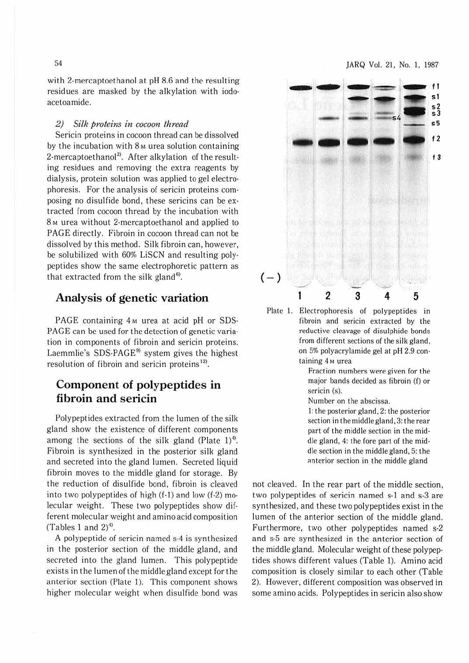with 2-mercaptoethanol at pH 8.6 and the resulting residues are masked by the alkylation with iodo· aceloamide.

### *2) Sill? proteins in cocoon thread*

Sericin proteins in cocoon thread can be dissolved by the incubation with  $8<sub>M</sub>$  urea solution containing 2-mercaptoethanol<sup>2</sup>. After alkylation of the resulting residues and removing the extra reagents by dialysis, protein solution was applied to gel electrophoresis. For the analysis of sericin proteins com· posing no disulfide bond, these sericins can be extracted from cocoon thread by the incubation with 8<sub>M</sub> urea without 2-mercaptoethanol and applied to PAGE directly. Fibroin in cocoon thread can not be dissolved by this method. Silk fibroin can, however, be solubilized with 60% LiSCN and resulting polypeptides show the same electrophoretic pattern as that extracted from the silk gland<sup>6)</sup>.

# **Analysis of genetic variation**

PAGE containing 4<sub>M</sub> urea at acid pH or SDS-PAGE can be used for the detection of genetic varia· tion in components of fibroin and sericin proteins. Laemmlie's SDS-PAGE<sup>9)</sup> system gives the highest resolution of fibroin and sericin proteins<sup>12)</sup>.

# **Component of polypeptides in fibroin and sericin**

Polypeptides extracted from the lumen of the silk gland show the existence of different components among the sections of the silk gland (Plate  $1$ )<sup>4</sup>. Fibroin is synthesized in the posterior silk gland and secreted into the gland lumen. Secreted liquid fibroin moves to the middle gland for storage. By the reduction of disulfide bond, fibroin is cleaved into two polypeptides of high (f-1) and low (f-2) molecular weight. These two polypeptides show different molecular weight and amino acid composition (Tables 1 and  $2)^{4}$ ).

A polypeptide of sericin named S·4 is synthesized in the posterior section of the middle gland, and secreted into the gland lumen. This polypeptide exists in the lumen of the middle gland except for the anterior section (Plate 1). This component shows higher molecular weight when disulfide bond was



Plate **l.** Electrophoresis of polypeptides in fibroin and sericin extracted by the reductive cleavage of disulphide bonds from different sections of the silk gland, on 5% polyacrylamide gel at pH 2.9 con· taining 4 M urea

> Fraction numbers were given for the major bands decided as fibroin (f) or sericin (s).

Number on the abscissa.

I: the posterior gland, 2: the posterior section in the middle gland, 3: the rear part of the middle section in the mid· die gland, 4: the fore part of the mid· die section in the middle gland, 5: the anterior section in the middle gland

not cleaved. 1n the rear part of the middle section, two polypeptides of sericin named s·l and s-3 are synthesized, and these two polypeptides exist in the lumen of the anterior section of the middle gland. Furthermore, two other polypeptides named s-2 and s-5 are synthesized in the anterior section of the middle gland. Molecular weight of these polypep· tides shows different values (Table **1).** Amino acid composition is closely similar to each other (Table 2). However, different composition was observed in some amino acids. Polypeptides in sericin also show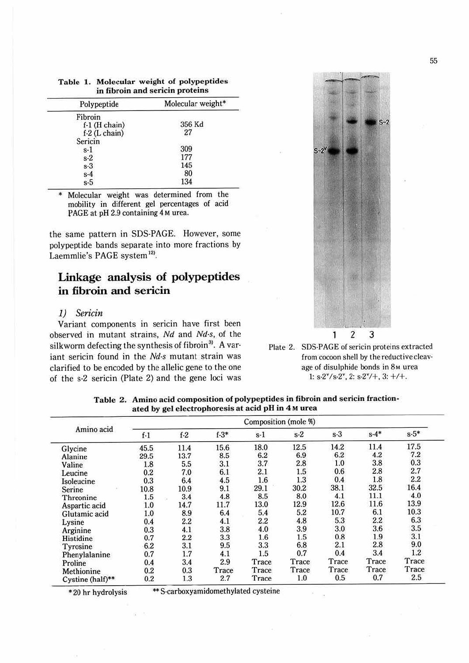| Polypeptide     | Molecular weight* |  |  |
|-----------------|-------------------|--|--|
| Fibroin         |                   |  |  |
| $f-1$ (H chain) | 356 Kd            |  |  |
| $f-2$ (L chain) | 27                |  |  |
| Sericin         |                   |  |  |
| $s-1$           | 309               |  |  |
| $s-2$           | 177               |  |  |
| $s-3$           | 145               |  |  |
|                 | 80                |  |  |
| $s-4$<br>$s-5$  | 134               |  |  |

**Table 1. Molecular weight of polypeptides in fibroin and sericin proteins** 

Molecular weight was determined from the mobility in different gel percentages of acid PAGE at pH 2.9 containing 4 M urea.

the same pattern in SOS-PAGE. However, some polypeptide bands separate into more fractions by Laemmlie's PAGE system<sup>12)</sup>.

# **Linkage analysis of polypeptides**  in **fibroin and sericin**

## 1) *Sericin*

Variant components in sericin have first been observed in mutant strains, *Nd* and *Nd-s,* of the silkworm defecting the synthesis of fibroin<sup>3)</sup>. A variant sericin found in the *Nd-s* mutant strain was clarified to be encoded by the allelic gene to the one of the s-2 sericin (Plate 2) and the gene loci was



Plate 2. SOS-PAGE of sericin proteins extracted from cocoon shell by thereductivecleav· age of disulphide bonds in 8<sub>M</sub> urea  $1: s-2^{\nu}/s-2^{\nu}$ ,  $2: s-2^{\nu}/+$ ,  $3: +/+$ .

| Amino acid       | Composition (mole %) |         |          |       |       |       |          |        |
|------------------|----------------------|---------|----------|-------|-------|-------|----------|--------|
|                  | $f-1$                | $f-2$   | $f - 3*$ | $s-1$ | $s-2$ | $s-3$ | $s - 4*$ | $s-5*$ |
| Glycine          | 45.5                 | 11.4    | 15.6     | 18.0  | 12.5  | 14.2  | 11.4     | 17.5   |
| Alanine          | 29.5                 | 13.7    | 8.5      | 6.2   | 6.9   | 6.2   | 4.2      | 7.2    |
| Valine           | 1.8                  | 5.5     | 3.1      | 3.7   | 2.8   | 1.0   | 3.8      | 0.3    |
| Leucine          | 0.2                  | 7.0     | 6.1      | 2.1   | 1.5   | 0.6   | 2.8      | 2.7    |
| Isoleucine       | 0.3                  | 6.4     | 4.5      | 1.6   | 1.3   | 0.4   | 1.8      | 2.2    |
| Serine           | 10.8                 | 10.9    | 9.1      | 29.1  | 30.2  | 38.1  | 32.5     | 16.4   |
| Threonine        | 1.5                  | 3.4     | 4.8      | 8.5   | 8.0   | 4.1   | 11.1     | 4.0    |
| Aspartic acid    | 1.0                  | 14.7    | 11.7     | 13.0  | 12.9  | 12.6  | 11.6     | 13.9   |
| Glutamic acid    | 1.0                  | 8.9     | 6.4      | 5.4   | 5.2   | 10.7  | 6.1      | 10.3   |
| Lysine           | 0.4                  | 2.2     | 4.1      | 2.2   | 4.8   | 5.3   | $2.2\,$  | 6.3    |
| Arginine         | 0.3                  | 4.1     | 3.8      | 4.0   | 3.9   | 3.0   | 3.6      | 3.5    |
| Histidine        | 0.7                  | $2.2\,$ | 3.3      | 1.6   | 1.5   | 0.8   | 1.9      | 3.1    |
| Tyrosine         | 6.2                  | 3.1     | 9.5      | 3.3   | 6.8   | 2.1   | 2.8      | 9.0    |
| Phenylalanine    | 0.7                  | 1.7     | 4.1      | 1.5   | 0.7   | 0.4   | 3.4      | 1.2    |
| Proline          | 0.4                  | 3.4     | 2.9      | Trace | Trace | Trace | Trace    | Trace  |
| Methionine       | 0.2                  | 0.3     | Trace    | Trace | Trace | Trace | Trace    | Trace  |
| Cystine (half)** | 0.2                  | 1.3     | 2.7      | Trace | 1.0   | 0.5   | 0.7      | 2.5    |

**Table 2. Amino acid composition of polypeptides in fibroin and sericin fraction· ated by gel electrophoresis at acid pH in 4 M urea** 

\* 20 hr hydrolysis \*\* S-carboxyamidomethylated cysteine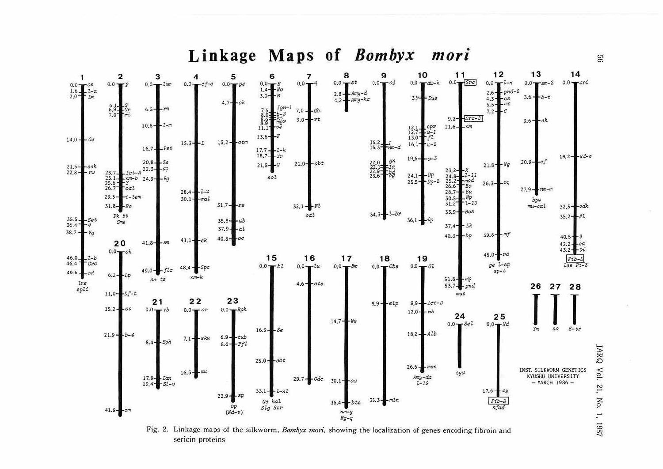### Linkage Maps of Bombyx mori



Fig. 2. Linkage maps of the silkworm, Bombyx mori, showing the localization of genes encoding fibroin and sericin proteins

99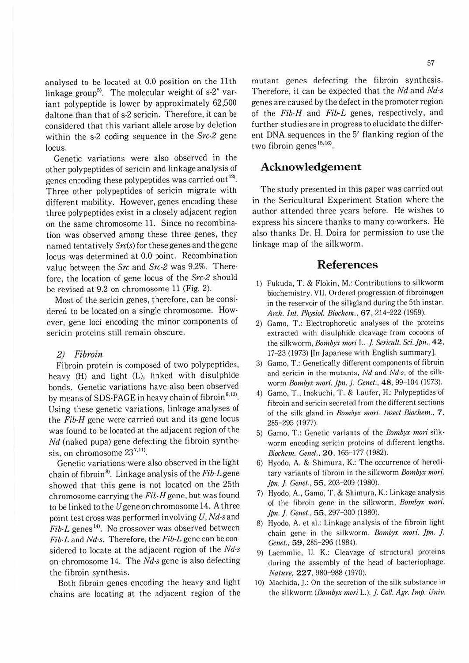analysed to be located at 0.0 position on the 11th linkage group<sup>5)</sup>. The molecular weight of  $s-2^v$  variant polypeptide is lower by approximately 62,500 daltone than that of s-2 sericin. Therefore, it can be considered that this variant allele arose by deletion within the s-2 coding sequence in the *Src-2* gene locus.

Genetic variations were also observed in the other polypeptides of sericin and linkage analysis of genes encoding these polypeptides was carried out $^{12}$ . Three other polypeptides of sericin migrate with different mobility. However, genes encoding these three polypeptides exist in a closely adjacent region on the same chromosome 11. Since no recombination was observed among these three genes, they named tentatively *Src(s)* for these genes and the gene locus was determined at 0.0 point. Recombination value between the *Src* and *Src-2* was 9.2%. Therefore, the location of gene locus of the *Src-2* should be revised at 9.2 on chromosome 11 (Fig. 2).

Most of the sericin genes, therefore, can be considered to be located on a single chromosome. How· ever, gene loci encoding the minor components of sericin proteins still remain obscure.

#### 2) Fibroin

Fibroin protein is composed of two polypeptides, heavy (H) and light (L), linked with disulphide bonds. Genetic variations have also been observed by means of SDS-PAGE in heavy chain of fibroin<sup>6,13)</sup>. Using these genetic variations, linkage analyses of the *Fib-H* gene were carried oul and its gene locus was found to be located at the adjacent region of the *Nd* (naked pupa) gene defecting the fibroin synthesis, on chromosome  $23^{7,11}$ .

Genetic variations were also observed in the light chain of fibroin<sup>8</sup>. Linkage analysis of the *Fib-L* gene showed that this gene is not located on the 25th chromosome carrying the *Fib-H* gene, but was found to be linked to the  $U$  gene on chromosome 14. A three point test cross was performed involving *U, Nd-sand Fib-L* genes<sup>14)</sup>. No crossover was observed between *Fib-Land Nd-s.* Therefore, the *Fib-L* gene can be considered to locate at the adjacent region of the *Nd-s*  on chromosome 14. The *Nd-s* gene is also defecting the fibroin synthesis.

Both fibroin genes encoding the heavy and light chains are locating at the adjacent region of the mutant genes defecting the fibroin synthesis. Therefore, it can be expected that the *Nd* and *Nd-s*  genes are caused by the defect in the promoter region of the *Fib-H* and *Fib-L* genes, respectively, and further studies are in progress to elucidate the different DNA sequences in the 5' flanking region of the two fibroin genes<sup>15,16)</sup>.

## **Acknowledgement**

The study presented in this paper was carried out in the Sericultural Experiment Station where the author attended three years before. He wishes to express his sincere thanks to many co-workers. He also thanks Dr. H. Doira for permission to use the linkage map of the silkworm.

## **References**

- l) Fukuda, T. & Flokin, M.: Contributions to silkworm biochemistry. VII. Ordered progression of fibroinogen in the reservoir of the silkgland during the 5th instar. *Arch. Int. Physiol. Biochem.,* **67,** 214-222 (1959).
- 2) Gamo, T.: Electrophoretic analyses of the proteins extracted with disulphide cleavage from cocoons of the silkworm, *Bombyx mori* L. *]. Sericult. Sci. Jpn.,* **42,**  17-23 (1973) [In Japanese with English summary].
- 3) Gamo, T.: Genetically different components of fibroin and sericin in the mutants, *Nd* and *Nd-s*, of the silkworm *Bombyx mori. Jpn. J. Genet.*, 48, 99-104 (1973).
- 4) Garno, T., lnokuchi, T. & Laufer, H.: Polypeptides of fibroin and sericin secreted from the different sections of the silk gland in *Bombyx mori. Insect Biochem ..* 7, 285-295 (1977).
- 5) Garno, T.: Genetic variants of the *Bombyx mori* silk· worm encoding sericin proteins of different lengths. *Biochem. Gene/.,* **20,** 165-177 (1982).
- 6) Hyodo, A. & Shimura, K.: The occurrence of heredi· tary variants of fibroin in the silkworm *Bombyx mori.*  Jpn. J. Genet., 55, 203-209 (1980).
- 7) Hyodo, A., Gamo, T. & Shimura, K.: Linkage analysis of the fibroin gene in the silkworm, *Bombyx mori.*  Ipn. J. Genet., 55, 297-300 (1980).
- 8) Hyodo. A. et al.: Linkage analysis of the fibroin light chain gene in the silkworm, *Bombyx mori. Jpn. J.* Genet., 59, 285-296 (1984).
- 9) Laemmlie, U. K.: Cleavage of structural proteins during the assembly of the head of bacteriophage. *No/11re,* **227,** 980-988 (1970).
- 10) Machida. J.: On the secretion of the silk substance in the silkworm *(Bombyx mori* L.). ]. *Coll. Agr. Imp. Univ.*